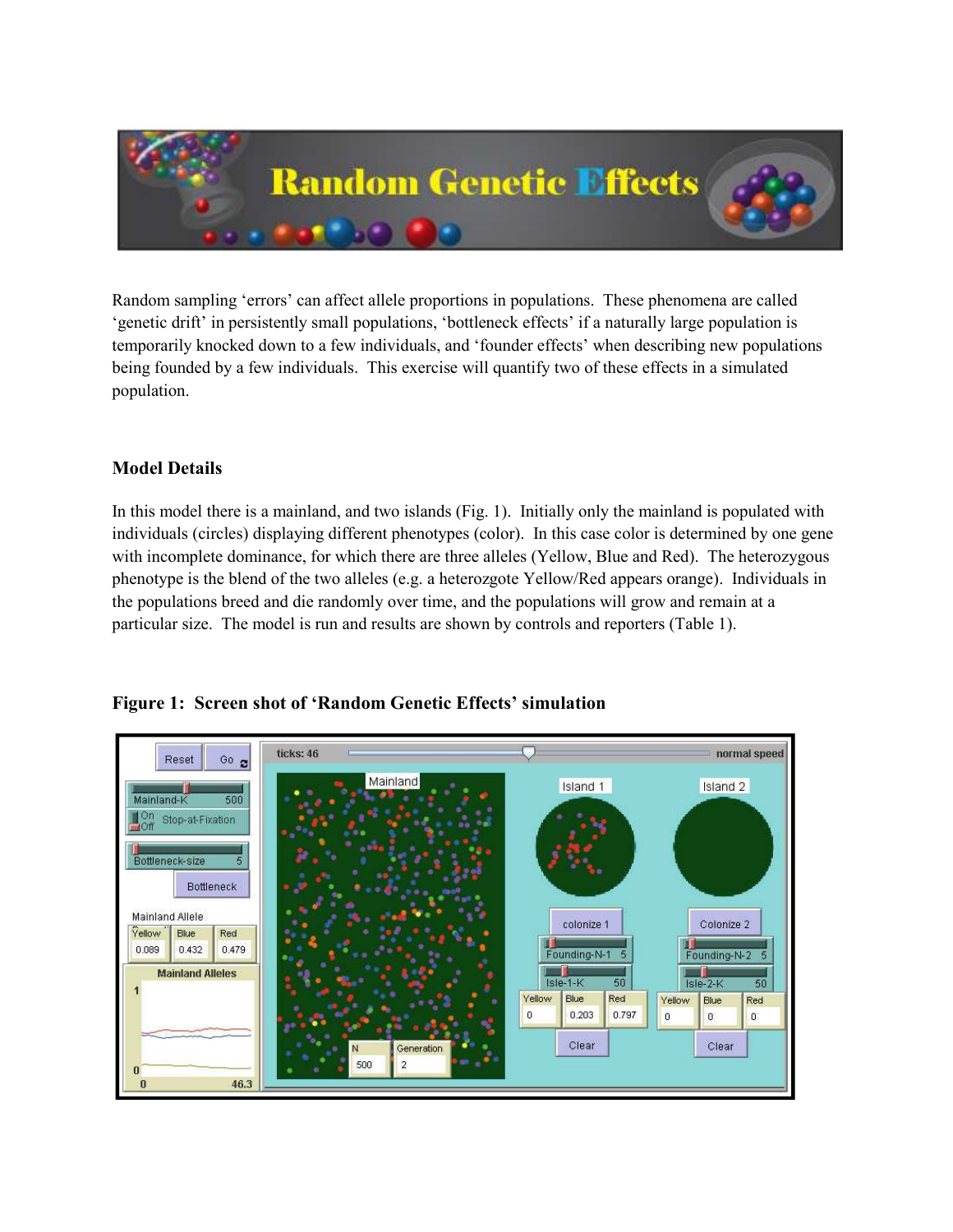

Random sampling 'errors' can affect allele proportions in populations. These phenomena are called 'genetic drift' in persistently small populations, 'bottleneck effects' if a naturally large population is temporarily knocked down to a few individuals, and 'founder effects' when describing new populations being founded by a few individuals. This exercise will quantify two of these effects in a simulated population.

## Model Details

In this model there is a mainland, and two islands (Fig. 1). Initially only the mainland is populated with individuals (circles) displaying different phenotypes (color). In this case color is determined by one gene with incomplete dominance, for which there are three alleles (Yellow, Blue and Red). The heterozygous phenotype is the blend of the two alleles (e.g. a heterozgote Yellow/Red appears orange). Individuals in the populations breed and die randomly over time, and the populations will grow and remain at a particular size. The model is run and results are shown by controls and reporters (Table 1).